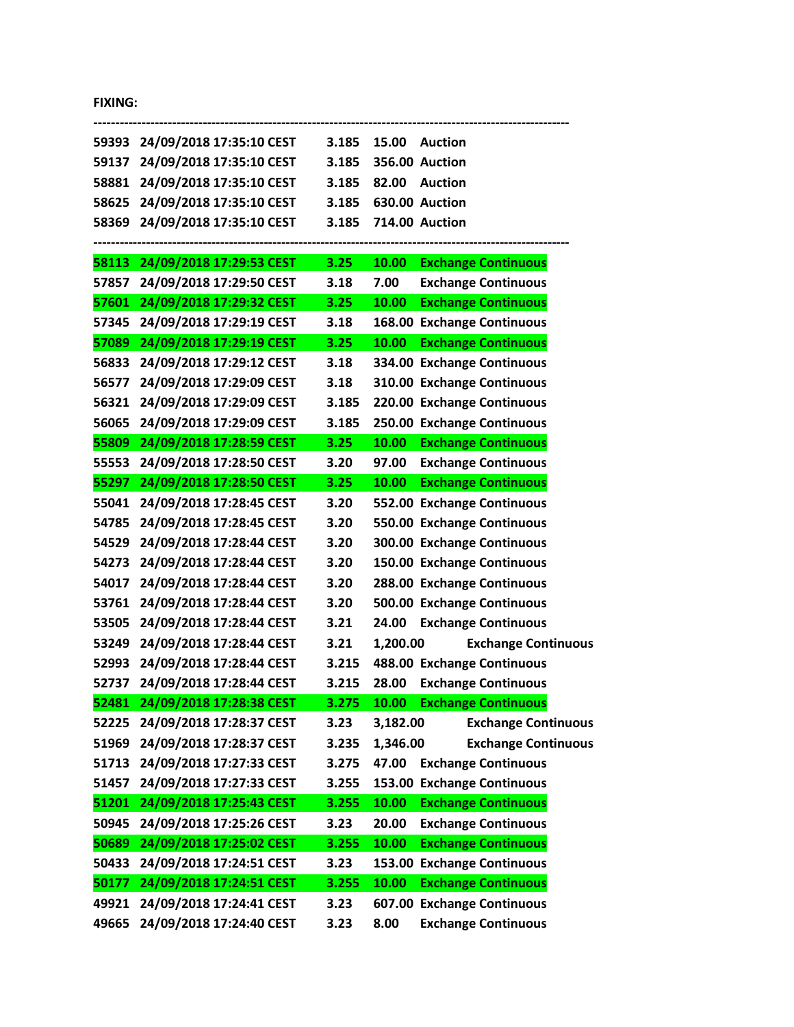## **FIXING:**

|       | 59393 24/09/2018 17:35:10 CEST | 3.185 | 15.00<br><b>Auction</b>                    |
|-------|--------------------------------|-------|--------------------------------------------|
| 59137 | 24/09/2018 17:35:10 CEST       | 3.185 | 356.00 Auction                             |
| 58881 | 24/09/2018 17:35:10 CEST       | 3.185 | <b>Auction</b><br>82.00                    |
| 58625 | 24/09/2018 17:35:10 CEST       | 3.185 | 630.00 Auction                             |
| 58369 | 24/09/2018 17:35:10 CEST       | 3.185 | 714.00 Auction                             |
| 58113 | 24/09/2018 17:29:53 CEST       | 3.25  | 10.00<br><b>Exchange Continuous</b>        |
| 57857 | 24/09/2018 17:29:50 CEST       | 3.18  | 7.00<br><b>Exchange Continuous</b>         |
| 57601 | 24/09/2018 17:29:32 CEST       | 3.25  | 10.00<br><b>Exchange Continuous</b>        |
| 57345 | 24/09/2018 17:29:19 CEST       | 3.18  | 168.00 Exchange Continuous                 |
| 57089 | 24/09/2018 17:29:19 CEST       | 3.25  | 10.00<br><b>Exchange Continuous</b>        |
| 56833 | 24/09/2018 17:29:12 CEST       | 3.18  | 334.00 Exchange Continuous                 |
| 56577 | 24/09/2018 17:29:09 CEST       | 3.18  | 310.00 Exchange Continuous                 |
| 56321 | 24/09/2018 17:29:09 CEST       | 3.185 | 220.00 Exchange Continuous                 |
| 56065 | 24/09/2018 17:29:09 CEST       | 3.185 | 250.00 Exchange Continuous                 |
| 55809 | 24/09/2018 17:28:59 CEST       | 3.25  | 10.00<br><b>Exchange Continuous</b>        |
| 55553 | 24/09/2018 17:28:50 CEST       | 3.20  | <b>Exchange Continuous</b><br>97.00        |
| 55297 | 24/09/2018 17:28:50 CEST       | 3.25  | 10.00<br><b>Exchange Continuous</b>        |
| 55041 | 24/09/2018 17:28:45 CEST       | 3.20  | 552.00 Exchange Continuous                 |
| 54785 | 24/09/2018 17:28:45 CEST       | 3.20  | 550.00 Exchange Continuous                 |
| 54529 | 24/09/2018 17:28:44 CEST       | 3.20  | 300.00 Exchange Continuous                 |
| 54273 | 24/09/2018 17:28:44 CEST       | 3.20  | 150.00 Exchange Continuous                 |
| 54017 | 24/09/2018 17:28:44 CEST       | 3.20  | 288.00 Exchange Continuous                 |
| 53761 | 24/09/2018 17:28:44 CEST       | 3.20  | 500.00 Exchange Continuous                 |
| 53505 | 24/09/2018 17:28:44 CEST       | 3.21  | 24.00 Exchange Continuous                  |
| 53249 | 24/09/2018 17:28:44 CEST       | 3.21  | 1,200.00<br><b>Exchange Continuous</b>     |
| 52993 | 24/09/2018 17:28:44 CEST       | 3.215 | 488.00 Exchange Continuous                 |
| 52737 | 24/09/2018 17:28:44 CEST       | 3.215 | 28.00<br><b>Exchange Continuous</b>        |
| 52481 | 24/09/2018 17:28:38 CEST       | 3.275 | <b>10.00</b><br><b>Exchange Continuous</b> |
| 52225 | 24/09/2018 17:28:37 CEST       | 3.23  | 3,182.00<br><b>Exchange Continuous</b>     |
| 51969 | 24/09/2018 17:28:37 CEST       | 3.235 | 1,346.00<br><b>Exchange Continuous</b>     |
| 51713 | 24/09/2018 17:27:33 CEST       | 3.275 | 47.00<br><b>Exchange Continuous</b>        |
| 51457 | 24/09/2018 17:27:33 CEST       | 3.255 | 153.00 Exchange Continuous                 |
| 51201 | 24/09/2018 17:25:43 CEST       | 3.255 | 10.00<br><b>Exchange Continuous</b>        |
| 50945 | 24/09/2018 17:25:26 CEST       | 3.23  | 20.00<br><b>Exchange Continuous</b>        |
| 50689 | 24/09/2018 17:25:02 CEST       | 3.255 | 10.00<br><b>Exchange Continuous</b>        |
| 50433 | 24/09/2018 17:24:51 CEST       | 3.23  | 153.00 Exchange Continuous                 |
| 50177 | 24/09/2018 17:24:51 CEST       | 3.255 | <b>Exchange Continuous</b><br>10.00        |
| 49921 | 24/09/2018 17:24:41 CEST       | 3.23  | 607.00 Exchange Continuous                 |
| 49665 | 24/09/2018 17:24:40 CEST       | 3.23  | 8.00<br><b>Exchange Continuous</b>         |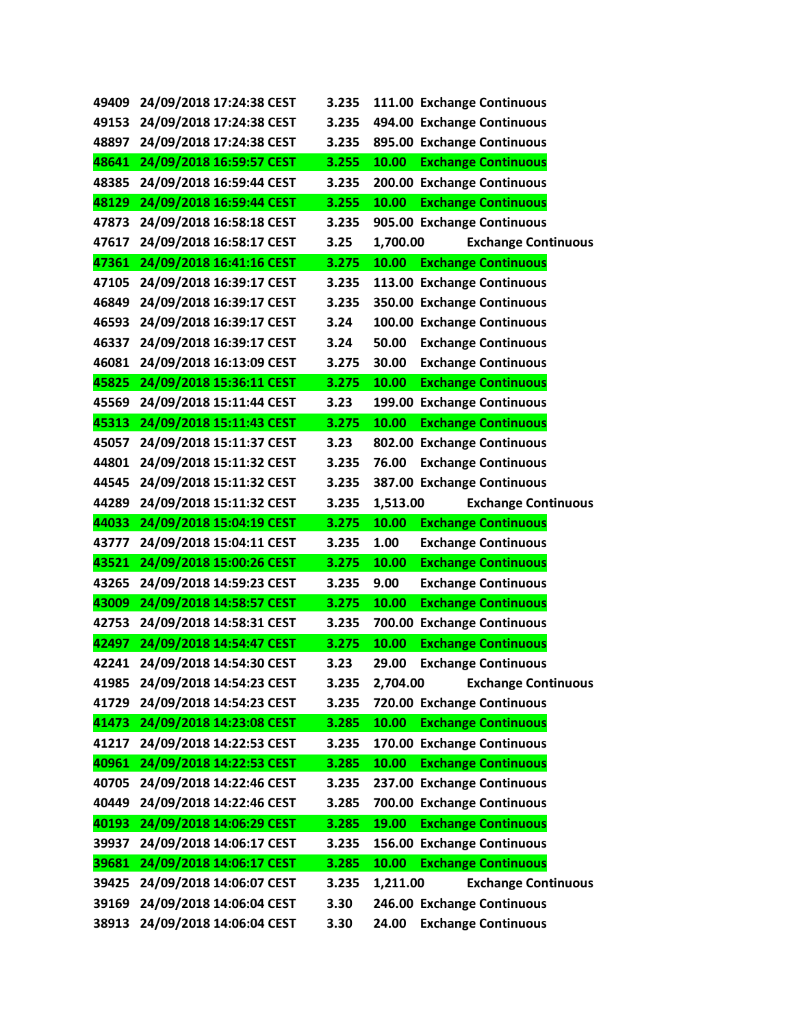| 49409 | 24/09/2018 17:24:38 CEST | 3.235 | 111.00 Exchange Continuous             |
|-------|--------------------------|-------|----------------------------------------|
| 49153 | 24/09/2018 17:24:38 CEST | 3.235 | 494.00 Exchange Continuous             |
| 48897 | 24/09/2018 17:24:38 CEST | 3.235 | 895.00 Exchange Continuous             |
| 48641 | 24/09/2018 16:59:57 CEST | 3.255 | 10.00<br><b>Exchange Continuous</b>    |
| 48385 | 24/09/2018 16:59:44 CEST | 3.235 | 200.00 Exchange Continuous             |
| 48129 | 24/09/2018 16:59:44 CEST | 3.255 | 10.00<br><b>Exchange Continuous</b>    |
| 47873 | 24/09/2018 16:58:18 CEST | 3.235 | 905.00 Exchange Continuous             |
| 47617 | 24/09/2018 16:58:17 CEST | 3.25  | 1,700.00<br><b>Exchange Continuous</b> |
| 47361 | 24/09/2018 16:41:16 CEST | 3.275 | 10.00<br><b>Exchange Continuous</b>    |
| 47105 | 24/09/2018 16:39:17 CEST | 3.235 | 113.00 Exchange Continuous             |
| 46849 | 24/09/2018 16:39:17 CEST | 3.235 | 350.00 Exchange Continuous             |
| 46593 | 24/09/2018 16:39:17 CEST | 3.24  | 100.00 Exchange Continuous             |
| 46337 | 24/09/2018 16:39:17 CEST | 3.24  | 50.00<br><b>Exchange Continuous</b>    |
| 46081 | 24/09/2018 16:13:09 CEST | 3.275 | 30.00<br><b>Exchange Continuous</b>    |
| 45825 | 24/09/2018 15:36:11 CEST | 3.275 | 10.00<br><b>Exchange Continuous</b>    |
| 45569 | 24/09/2018 15:11:44 CEST | 3.23  | 199.00 Exchange Continuous             |
| 45313 | 24/09/2018 15:11:43 CEST | 3.275 | 10.00<br><b>Exchange Continuous</b>    |
| 45057 | 24/09/2018 15:11:37 CEST | 3.23  | 802.00 Exchange Continuous             |
| 44801 | 24/09/2018 15:11:32 CEST | 3.235 | 76.00<br><b>Exchange Continuous</b>    |
| 44545 | 24/09/2018 15:11:32 CEST | 3.235 | 387.00 Exchange Continuous             |
| 44289 | 24/09/2018 15:11:32 CEST | 3.235 | 1,513.00<br><b>Exchange Continuous</b> |
| 44033 | 24/09/2018 15:04:19 CEST | 3.275 | 10.00<br><b>Exchange Continuous</b>    |
| 43777 | 24/09/2018 15:04:11 CEST | 3.235 | 1.00<br><b>Exchange Continuous</b>     |
| 43521 | 24/09/2018 15:00:26 CEST | 3.275 | 10.00<br><b>Exchange Continuous</b>    |
| 43265 | 24/09/2018 14:59:23 CEST | 3.235 | 9.00<br><b>Exchange Continuous</b>     |
| 43009 | 24/09/2018 14:58:57 CEST | 3.275 | 10.00<br><b>Exchange Continuous</b>    |
| 42753 | 24/09/2018 14:58:31 CEST | 3.235 | 700.00 Exchange Continuous             |
| 42497 | 24/09/2018 14:54:47 CEST | 3.275 | 10.00<br><b>Exchange Continuous</b>    |
| 42241 | 24/09/2018 14:54:30 CEST | 3.23  | 29.00<br><b>Exchange Continuous</b>    |
| 41985 | 24/09/2018 14:54:23 CEST | 3.235 | <b>Exchange Continuous</b><br>2,704.00 |
| 41729 | 24/09/2018 14:54:23 CEST | 3.235 | 720.00 Exchange Continuous             |
| 41473 | 24/09/2018 14:23:08 CEST | 3.285 | 10.00<br><b>Exchange Continuous</b>    |
| 41217 | 24/09/2018 14:22:53 CEST | 3.235 | 170.00 Exchange Continuous             |
| 40961 | 24/09/2018 14:22:53 CEST | 3.285 | <b>Exchange Continuous</b><br>10.00    |
| 40705 | 24/09/2018 14:22:46 CEST | 3.235 | 237.00 Exchange Continuous             |
| 40449 | 24/09/2018 14:22:46 CEST | 3.285 | 700.00 Exchange Continuous             |
| 40193 | 24/09/2018 14:06:29 CEST | 3.285 | 19.00<br><b>Exchange Continuous</b>    |
| 39937 | 24/09/2018 14:06:17 CEST | 3.235 | 156.00 Exchange Continuous             |
| 39681 | 24/09/2018 14:06:17 CEST | 3.285 | 10.00<br><b>Exchange Continuous</b>    |
| 39425 | 24/09/2018 14:06:07 CEST | 3.235 | 1,211.00<br><b>Exchange Continuous</b> |
| 39169 | 24/09/2018 14:06:04 CEST | 3.30  | 246.00 Exchange Continuous             |
| 38913 | 24/09/2018 14:06:04 CEST | 3.30  | 24.00<br><b>Exchange Continuous</b>    |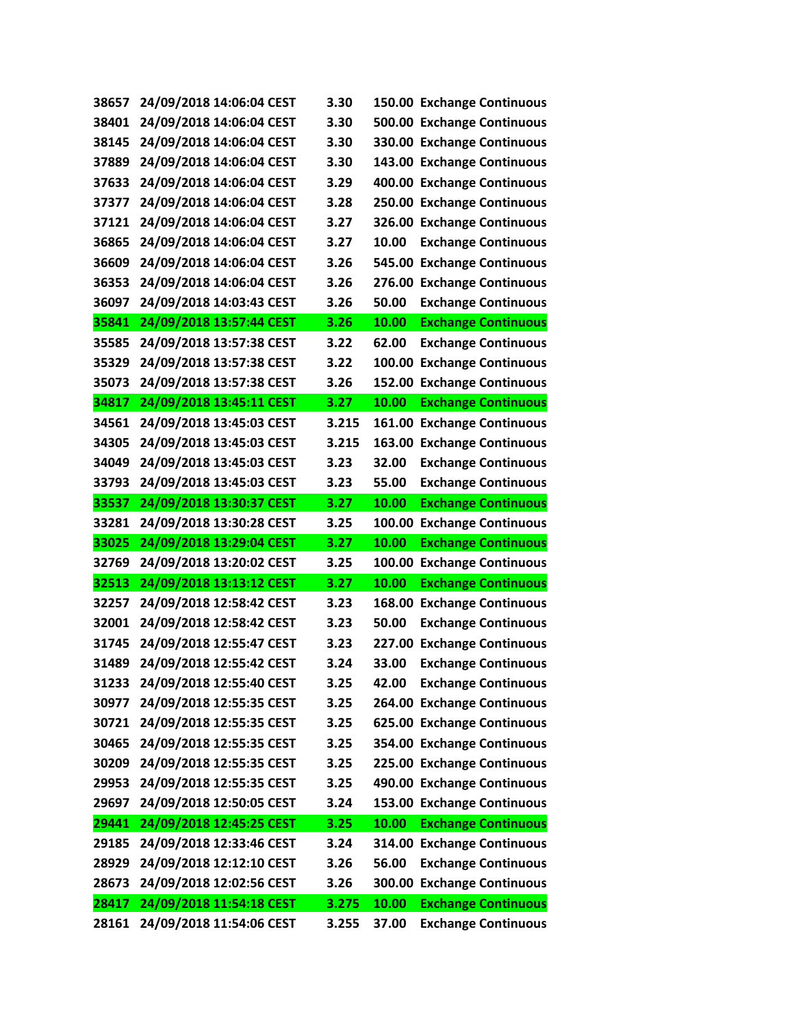| 38657 | 24/09/2018 14:06:04 CEST | 3.30  |        | 150.00 Exchange Continuous |
|-------|--------------------------|-------|--------|----------------------------|
| 38401 | 24/09/2018 14:06:04 CEST | 3.30  |        | 500.00 Exchange Continuous |
| 38145 | 24/09/2018 14:06:04 CEST | 3.30  |        | 330.00 Exchange Continuous |
| 37889 | 24/09/2018 14:06:04 CEST | 3.30  |        | 143.00 Exchange Continuous |
| 37633 | 24/09/2018 14:06:04 CEST | 3.29  |        | 400.00 Exchange Continuous |
| 37377 | 24/09/2018 14:06:04 CEST | 3.28  |        | 250.00 Exchange Continuous |
| 37121 | 24/09/2018 14:06:04 CEST | 3.27  |        | 326.00 Exchange Continuous |
| 36865 | 24/09/2018 14:06:04 CEST | 3.27  | 10.00  | <b>Exchange Continuous</b> |
| 36609 | 24/09/2018 14:06:04 CEST | 3.26  |        | 545.00 Exchange Continuous |
| 36353 | 24/09/2018 14:06:04 CEST | 3.26  | 276.00 | <b>Exchange Continuous</b> |
| 36097 | 24/09/2018 14:03:43 CEST | 3.26  | 50.00  | <b>Exchange Continuous</b> |
| 35841 | 24/09/2018 13:57:44 CEST | 3.26  | 10.00  | <b>Exchange Continuous</b> |
| 35585 | 24/09/2018 13:57:38 CEST | 3.22  | 62.00  | <b>Exchange Continuous</b> |
| 35329 | 24/09/2018 13:57:38 CEST | 3.22  | 100.00 | <b>Exchange Continuous</b> |
| 35073 | 24/09/2018 13:57:38 CEST | 3.26  |        | 152.00 Exchange Continuous |
| 34817 | 24/09/2018 13:45:11 CEST | 3.27  | 10.00  | <b>Exchange Continuous</b> |
| 34561 | 24/09/2018 13:45:03 CEST | 3.215 |        | 161.00 Exchange Continuous |
| 34305 | 24/09/2018 13:45:03 CEST | 3.215 | 163.00 | <b>Exchange Continuous</b> |
| 34049 | 24/09/2018 13:45:03 CEST | 3.23  | 32.00  | <b>Exchange Continuous</b> |
| 33793 | 24/09/2018 13:45:03 CEST | 3.23  | 55.00  | <b>Exchange Continuous</b> |
| 33537 | 24/09/2018 13:30:37 CEST | 3.27  | 10.00  | <b>Exchange Continuous</b> |
| 33281 | 24/09/2018 13:30:28 CEST | 3.25  |        | 100.00 Exchange Continuous |
| 33025 | 24/09/2018 13:29:04 CEST | 3.27  | 10.00  | <b>Exchange Continuous</b> |
| 32769 | 24/09/2018 13:20:02 CEST | 3.25  | 100.00 | <b>Exchange Continuous</b> |
| 32513 | 24/09/2018 13:13:12 CEST | 3.27  | 10.00  | <b>Exchange Continuous</b> |
| 32257 | 24/09/2018 12:58:42 CEST | 3.23  | 168.00 | <b>Exchange Continuous</b> |
| 32001 | 24/09/2018 12:58:42 CEST | 3.23  | 50.00  | <b>Exchange Continuous</b> |
| 31745 | 24/09/2018 12:55:47 CEST | 3.23  | 227.00 | <b>Exchange Continuous</b> |
| 31489 | 24/09/2018 12:55:42 CEST | 3.24  | 33.00  | <b>Exchange Continuous</b> |
| 31233 | 24/09/2018 12:55:40 CEST | 3.25  | 42.00  | <b>Exchange Continuous</b> |
| 30977 | 24/09/2018 12:55:35 CEST | 3.25  |        | 264.00 Exchange Continuous |
| 30721 | 24/09/2018 12:55:35 CEST | 3.25  |        | 625.00 Exchange Continuous |
| 30465 | 24/09/2018 12:55:35 CEST | 3.25  |        | 354.00 Exchange Continuous |
| 30209 | 24/09/2018 12:55:35 CEST | 3.25  |        | 225.00 Exchange Continuous |
| 29953 | 24/09/2018 12:55:35 CEST | 3.25  |        | 490.00 Exchange Continuous |
| 29697 | 24/09/2018 12:50:05 CEST | 3.24  |        | 153.00 Exchange Continuous |
| 29441 | 24/09/2018 12:45:25 CEST | 3.25  | 10.00  | <b>Exchange Continuous</b> |
| 29185 | 24/09/2018 12:33:46 CEST | 3.24  |        | 314.00 Exchange Continuous |
| 28929 | 24/09/2018 12:12:10 CEST | 3.26  | 56.00  | <b>Exchange Continuous</b> |
| 28673 | 24/09/2018 12:02:56 CEST | 3.26  |        | 300.00 Exchange Continuous |
| 28417 | 24/09/2018 11:54:18 CEST | 3.275 | 10.00  | <b>Exchange Continuous</b> |
| 28161 | 24/09/2018 11:54:06 CEST | 3.255 | 37.00  | <b>Exchange Continuous</b> |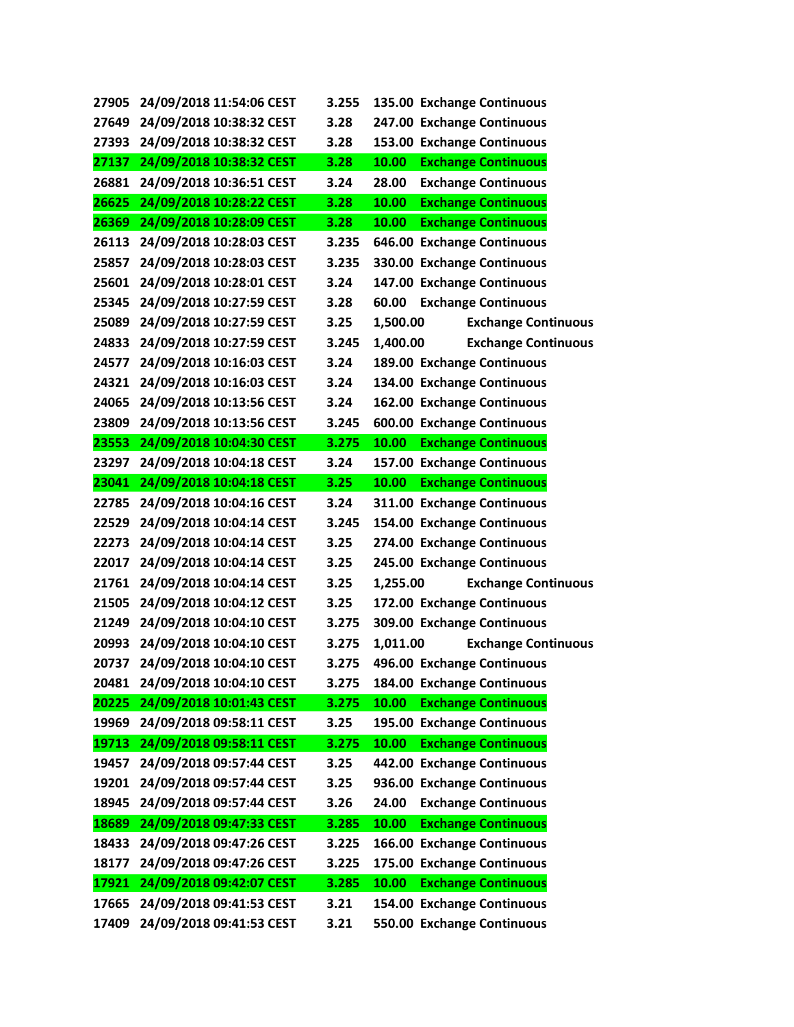| 27905 | 24/09/2018 11:54:06 CEST | 3.255 | 135.00 Exchange Continuous             |
|-------|--------------------------|-------|----------------------------------------|
| 27649 | 24/09/2018 10:38:32 CEST | 3.28  | 247.00 Exchange Continuous             |
| 27393 | 24/09/2018 10:38:32 CEST | 3.28  | 153.00 Exchange Continuous             |
| 27137 | 24/09/2018 10:38:32 CEST | 3.28  | 10.00<br><b>Exchange Continuous</b>    |
| 26881 | 24/09/2018 10:36:51 CEST | 3.24  | <b>Exchange Continuous</b><br>28.00    |
| 26625 | 24/09/2018 10:28:22 CEST | 3.28  | 10.00<br><b>Exchange Continuous</b>    |
| 26369 | 24/09/2018 10:28:09 CEST | 3.28  | 10.00<br><b>Exchange Continuous</b>    |
| 26113 | 24/09/2018 10:28:03 CEST | 3.235 | 646.00 Exchange Continuous             |
| 25857 | 24/09/2018 10:28:03 CEST | 3.235 | 330.00 Exchange Continuous             |
| 25601 | 24/09/2018 10:28:01 CEST | 3.24  | 147.00 Exchange Continuous             |
| 25345 | 24/09/2018 10:27:59 CEST | 3.28  | 60.00<br><b>Exchange Continuous</b>    |
| 25089 | 24/09/2018 10:27:59 CEST | 3.25  | 1,500.00<br><b>Exchange Continuous</b> |
| 24833 | 24/09/2018 10:27:59 CEST | 3.245 | 1,400.00<br><b>Exchange Continuous</b> |
| 24577 | 24/09/2018 10:16:03 CEST | 3.24  | 189.00 Exchange Continuous             |
| 24321 | 24/09/2018 10:16:03 CEST | 3.24  | 134.00 Exchange Continuous             |
| 24065 | 24/09/2018 10:13:56 CEST | 3.24  | 162.00 Exchange Continuous             |
| 23809 | 24/09/2018 10:13:56 CEST | 3.245 | 600.00 Exchange Continuous             |
| 23553 | 24/09/2018 10:04:30 CEST | 3.275 | 10.00<br><b>Exchange Continuous</b>    |
| 23297 | 24/09/2018 10:04:18 CEST | 3.24  | 157.00 Exchange Continuous             |
| 23041 | 24/09/2018 10:04:18 CEST | 3.25  | 10.00<br><b>Exchange Continuous</b>    |
| 22785 | 24/09/2018 10:04:16 CEST | 3.24  | 311.00 Exchange Continuous             |
| 22529 | 24/09/2018 10:04:14 CEST | 3.245 | 154.00 Exchange Continuous             |
| 22273 | 24/09/2018 10:04:14 CEST | 3.25  | 274.00 Exchange Continuous             |
| 22017 | 24/09/2018 10:04:14 CEST | 3.25  | 245.00 Exchange Continuous             |
| 21761 | 24/09/2018 10:04:14 CEST | 3.25  | 1,255.00<br><b>Exchange Continuous</b> |
| 21505 | 24/09/2018 10:04:12 CEST | 3.25  | 172.00 Exchange Continuous             |
| 21249 | 24/09/2018 10:04:10 CEST | 3.275 | 309.00 Exchange Continuous             |
| 20993 | 24/09/2018 10:04:10 CEST | 3.275 | 1,011.00<br><b>Exchange Continuous</b> |
| 20737 | 24/09/2018 10:04:10 CEST | 3.275 | 496.00 Exchange Continuous             |
| 20481 | 24/09/2018 10:04:10 CEST | 3.275 | 184.00 Exchange Continuous             |
| 20225 | 24/09/2018 10:01:43 CEST | 3.275 | 10.00<br><b>Exchange Continuous</b>    |
| 19969 | 24/09/2018 09:58:11 CEST | 3.25  | 195.00 Exchange Continuous             |
| 19713 | 24/09/2018 09:58:11 CEST | 3.275 | <b>Exchange Continuous</b><br>10.00    |
| 19457 | 24/09/2018 09:57:44 CEST | 3.25  | 442.00 Exchange Continuous             |
| 19201 | 24/09/2018 09:57:44 CEST | 3.25  | 936.00 Exchange Continuous             |
| 18945 | 24/09/2018 09:57:44 CEST | 3.26  | 24.00<br><b>Exchange Continuous</b>    |
| 18689 | 24/09/2018 09:47:33 CEST | 3.285 | 10.00<br><b>Exchange Continuous</b>    |
| 18433 | 24/09/2018 09:47:26 CEST | 3.225 | 166.00 Exchange Continuous             |
| 18177 | 24/09/2018 09:47:26 CEST | 3.225 | 175.00 Exchange Continuous             |
| 17921 | 24/09/2018 09:42:07 CEST | 3.285 | <b>Exchange Continuous</b><br>10.00    |
| 17665 | 24/09/2018 09:41:53 CEST | 3.21  | 154.00 Exchange Continuous             |
| 17409 | 24/09/2018 09:41:53 CEST | 3.21  | 550.00 Exchange Continuous             |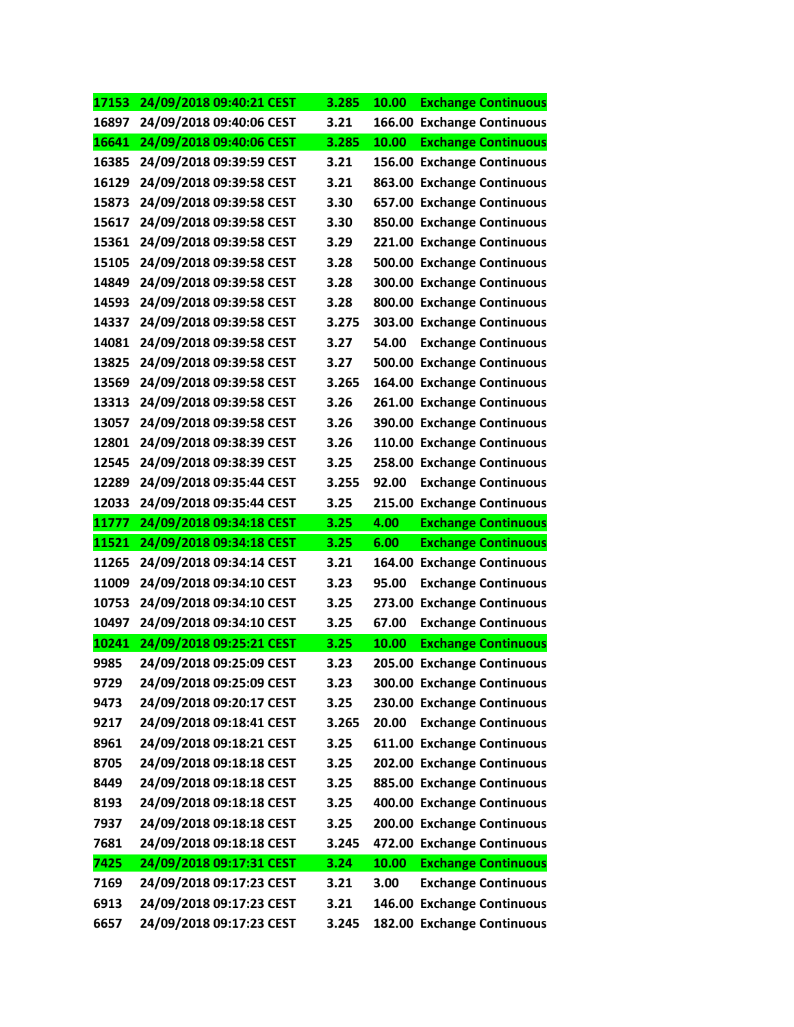| 17153 | 24/09/2018 09:40:21 CEST | 3.285 | 10.00  | <b>Exchange Continuous</b> |
|-------|--------------------------|-------|--------|----------------------------|
| 16897 | 24/09/2018 09:40:06 CEST | 3.21  |        | 166.00 Exchange Continuous |
| 16641 | 24/09/2018 09:40:06 CEST | 3.285 | 10.00  | <b>Exchange Continuous</b> |
| 16385 | 24/09/2018 09:39:59 CEST | 3.21  |        | 156.00 Exchange Continuous |
| 16129 | 24/09/2018 09:39:58 CEST | 3.21  |        | 863.00 Exchange Continuous |
| 15873 | 24/09/2018 09:39:58 CEST | 3.30  |        | 657.00 Exchange Continuous |
| 15617 | 24/09/2018 09:39:58 CEST | 3.30  |        | 850.00 Exchange Continuous |
| 15361 | 24/09/2018 09:39:58 CEST | 3.29  |        | 221.00 Exchange Continuous |
| 15105 | 24/09/2018 09:39:58 CEST | 3.28  |        | 500.00 Exchange Continuous |
| 14849 | 24/09/2018 09:39:58 CEST | 3.28  |        | 300.00 Exchange Continuous |
| 14593 | 24/09/2018 09:39:58 CEST | 3.28  |        | 800.00 Exchange Continuous |
| 14337 | 24/09/2018 09:39:58 CEST | 3.275 |        | 303.00 Exchange Continuous |
| 14081 | 24/09/2018 09:39:58 CEST | 3.27  | 54.00  | <b>Exchange Continuous</b> |
| 13825 | 24/09/2018 09:39:58 CEST | 3.27  |        | 500.00 Exchange Continuous |
| 13569 | 24/09/2018 09:39:58 CEST | 3.265 |        | 164.00 Exchange Continuous |
| 13313 | 24/09/2018 09:39:58 CEST | 3.26  |        | 261.00 Exchange Continuous |
| 13057 | 24/09/2018 09:39:58 CEST | 3.26  |        | 390.00 Exchange Continuous |
| 12801 | 24/09/2018 09:38:39 CEST | 3.26  |        | 110.00 Exchange Continuous |
| 12545 | 24/09/2018 09:38:39 CEST | 3.25  | 258.00 | <b>Exchange Continuous</b> |
| 12289 | 24/09/2018 09:35:44 CEST | 3.255 | 92.00  | <b>Exchange Continuous</b> |
| 12033 | 24/09/2018 09:35:44 CEST | 3.25  |        | 215.00 Exchange Continuous |
| 11777 | 24/09/2018 09:34:18 CEST | 3.25  | 4.00   | <b>Exchange Continuous</b> |
| 11521 | 24/09/2018 09:34:18 CEST | 3.25  | 6.00   | <b>Exchange Continuous</b> |
|       |                          |       |        |                            |
| 11265 | 24/09/2018 09:34:14 CEST | 3.21  | 164.00 | <b>Exchange Continuous</b> |
| 11009 | 24/09/2018 09:34:10 CEST | 3.23  | 95.00  | <b>Exchange Continuous</b> |
| 10753 | 24/09/2018 09:34:10 CEST | 3.25  | 273.00 | <b>Exchange Continuous</b> |
| 10497 | 24/09/2018 09:34:10 CEST | 3.25  | 67.00  | <b>Exchange Continuous</b> |
| 10241 | 24/09/2018 09:25:21 CEST | 3.25  | 10.00  | <b>Exchange Continuous</b> |
| 9985  | 24/09/2018 09:25:09 CEST | 3.23  |        | 205.00 Exchange Continuous |
| 9729  | 24/09/2018 09:25:09 CEST | 3.23  |        | 300.00 Exchange Continuous |
| 9473  | 24/09/2018 09:20:17 CEST | 3.25  |        | 230.00 Exchange Continuous |
| 9217  | 24/09/2018 09:18:41 CEST | 3.265 | 20.00  | <b>Exchange Continuous</b> |
| 8961  | 24/09/2018 09:18:21 CEST | 3.25  |        | 611.00 Exchange Continuous |
| 8705  | 24/09/2018 09:18:18 CEST | 3.25  |        | 202.00 Exchange Continuous |
| 8449  | 24/09/2018 09:18:18 CEST | 3.25  |        | 885.00 Exchange Continuous |
| 8193  | 24/09/2018 09:18:18 CEST | 3.25  |        | 400.00 Exchange Continuous |
| 7937  | 24/09/2018 09:18:18 CEST | 3.25  |        | 200.00 Exchange Continuous |
| 7681  | 24/09/2018 09:18:18 CEST | 3.245 |        | 472.00 Exchange Continuous |
| 7425  | 24/09/2018 09:17:31 CEST | 3.24  | 10.00  | <b>Exchange Continuous</b> |
| 7169  | 24/09/2018 09:17:23 CEST | 3.21  | 3.00   | <b>Exchange Continuous</b> |
| 6913  | 24/09/2018 09:17:23 CEST | 3.21  |        | 146.00 Exchange Continuous |